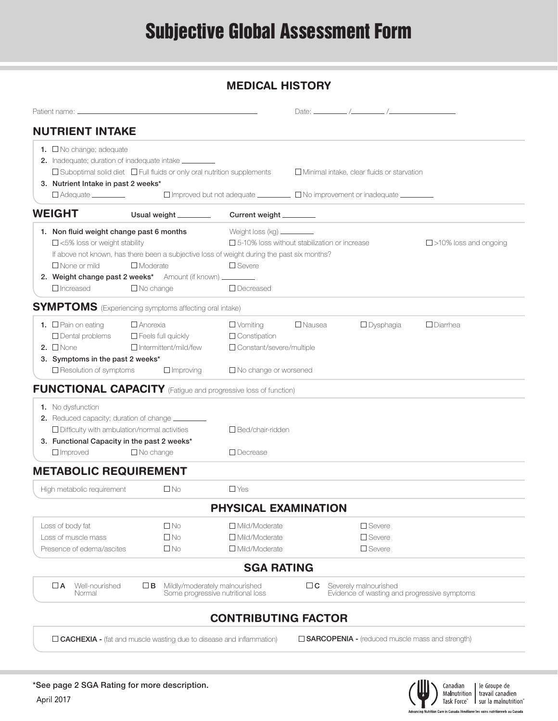## **MEDICAL HISTORY**

| <b>NUTRIENT INTAKE</b>                                                                                                                                                                         |                                                                                    |                                                                                                                                                                                                                         |               |                                                                       |                              |
|------------------------------------------------------------------------------------------------------------------------------------------------------------------------------------------------|------------------------------------------------------------------------------------|-------------------------------------------------------------------------------------------------------------------------------------------------------------------------------------------------------------------------|---------------|-----------------------------------------------------------------------|------------------------------|
| <b>1.</b> $\Box$ No change; adequate<br>2. Inadequate; duration of inadequate intake _________<br>3. Nutrient Intake in past 2 weeks*<br>$\Box$ Adequate $\_\_\_\_\_\_\_\_\_\_\_\_\$           | $\Box$ Suboptimal solid diet $\Box$ Full fluids or only oral nutrition supplements |                                                                                                                                                                                                                         |               | $\Box$ Minimal intake, clear fluids or starvation                     |                              |
| <b>WEIGHT</b>                                                                                                                                                                                  | Usual weight ________                                                              | Current weight ________                                                                                                                                                                                                 |               |                                                                       |                              |
| 1. Non fluid weight change past 6 months<br>$\Box$ <5% loss or weight stability<br>$\Box$ None or mild<br>2. Weight change past 2 weeks* Amount (if known) ________<br>$\Box$ Increased        | $\Box$ Moderate<br>$\Box$ No change                                                | Weight loss (kg) _________<br>$\square$ 5-10% loss without stabilization or increase<br>If above not known, has there been a subjective loss of weight during the past six months?<br>$\Box$ Severe<br>$\Box$ Decreased |               |                                                                       | $\Box$ >10% loss and ongoing |
| <b>SYMPTOMS</b> (Experiencing symptoms affecting oral intake)                                                                                                                                  |                                                                                    |                                                                                                                                                                                                                         |               |                                                                       |                              |
| <b>1.</b> $\Box$ Pain on eating<br>$\Box$ Dental problems<br>2. $\Box$ None<br>3. Symptoms in the past 2 weeks*                                                                                | $\Box$ Anorexia<br>$\Box$ Feels full quickly<br>$\Box$ Intermittent/mild/few       | $\Box$ Vomiting<br>$\Box$ Constipation<br>□ Constant/severe/multiple                                                                                                                                                    | $\Box$ Nausea | $\Box$ Dysphagia                                                      | $\Box$ Diarrhea              |
| $\square$ Resolution of symptoms<br><b>FUNCTIONAL CAPACITY</b> (Fatigue and progressive loss of function)                                                                                      | $\Box$ Improving                                                                   | $\Box$ No change or worsened                                                                                                                                                                                            |               |                                                                       |                              |
| 1. No dysfunction<br>2. Reduced capacity; duration of change ________<br>$\Box$ Difficulty with ambulation/normal activities<br>3. Functional Capacity in the past 2 weeks*<br>$\Box$ Improved | $\Box$ No change                                                                   | $\Box$ Bed/chair-ridden<br>$\Box$ Decrease                                                                                                                                                                              |               |                                                                       |                              |
| <b>METABOLIC REQUIREMENT</b>                                                                                                                                                                   |                                                                                    |                                                                                                                                                                                                                         |               |                                                                       |                              |
| High metabolic requirement                                                                                                                                                                     | $\Box$ No                                                                          | $\Box$ Yes                                                                                                                                                                                                              |               |                                                                       |                              |
|                                                                                                                                                                                                |                                                                                    | PHYSICAL EXAMINATION                                                                                                                                                                                                    |               |                                                                       |                              |
| Loss of body fat<br>Loss of muscle mass<br>Presence of edema/ascites                                                                                                                           | $\square$ No<br>$\square$ No<br>$\square$ No                                       | $\Box$ Mild/Moderate<br>□ Mild/Moderate<br>□ Mild/Moderate                                                                                                                                                              |               | $\Box$ Severe<br>$\square$ Severe<br>$\square$ Severe                 |                              |
|                                                                                                                                                                                                |                                                                                    | <b>SGA RATING</b>                                                                                                                                                                                                       |               |                                                                       |                              |
| $\Box$ A<br>Well-nourished<br>Normal                                                                                                                                                           | $\Box$ B                                                                           | Mildly/moderately malnourished<br>Some progressive nutritional loss                                                                                                                                                     | $\Box$ C      | Severely malnourished<br>Evidence of wasting and progressive symptoms |                              |
|                                                                                                                                                                                                |                                                                                    | <b>CONTRIBUTING FACTOR</b>                                                                                                                                                                                              |               |                                                                       |                              |

 $\Box$  CACHEXIA - (fat and muscle wasting due to disease and inflammation)  $\Box$  SARCOPENIA - (reduced muscle mass and strength)



Canadian | le Groupe de<br>| Malnutrition | travail canadien<br>| Task Force" | sur la malnutrition"